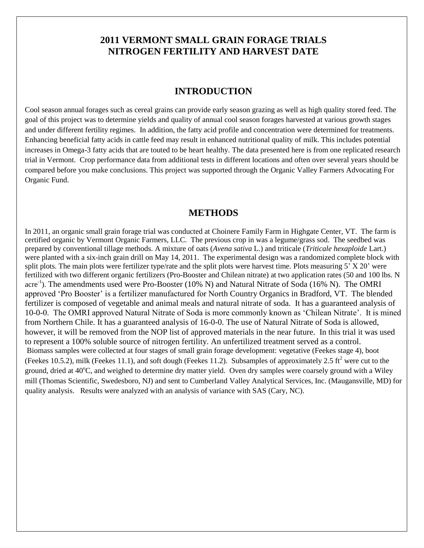# **2011 VERMONT SMALL GRAIN FORAGE TRIALS NITROGEN FERTILITY AND HARVEST DATE**

### **INTRODUCTION**

Cool season annual forages such as cereal grains can provide early season grazing as well as high quality stored feed. The goal of this project was to determine yields and quality of annual cool season forages harvested at various growth stages and under different fertility regimes. In addition, the fatty acid profile and concentration were determined for treatments. Enhancing beneficial fatty acids in cattle feed may result in enhanced nutritional quality of milk. This includes potential increases in Omega-3 fatty acids that are touted to be heart healthy. The data presented here is from one replicated research trial in Vermont. Crop performance data from additional tests in different locations and often over several years should be compared before you make conclusions. This project was supported through the Organic Valley Farmers Advocating For Organic Fund.

### **METHODS**

In 2011, an organic small grain forage trial was conducted at Choinere Family Farm in Highgate Center, VT. The farm is certified organic by Vermont Organic Farmers, LLC. The previous crop in was a legume/grass sod. The seedbed was prepared by conventional tillage methods. A mixture of oats (*Avena sativa* L.) and triticale (*Triticale hexaploide* Lart.) were planted with a six-inch grain drill on May 14, 2011. The experimental design was a randomized complete block with split plots. The main plots were fertilizer type/rate and the split plots were harvest time. Plots measuring 5' X 20' were fertilized with two different organic fertilizers (Pro-Booster and Chilean nitrate) at two application rates (50 and 100 lbs. N acre<sup>-1</sup>). The amendments used were Pro-Booster (10% N) and Natural Nitrate of Soda (16% N). The OMRI approved 'Pro Booster' is a fertilizer manufactured for North Country Organics in Bradford, VT. The blended fertilizer is composed of vegetable and animal meals and natural nitrate of soda. It has a guaranteed analysis of 10-0-0. The OMRI approved Natural Nitrate of Soda is more commonly known as 'Chilean Nitrate'. It is mined from Northern Chile. It has a guaranteed analysis of 16-0-0. The use of Natural Nitrate of Soda is allowed, however, it will be removed from the NOP list of approved materials in the near future. In this trial it was used to represent a 100% soluble source of nitrogen fertility. An unfertilized treatment served as a control. Biomass samples were collected at four stages of small grain forage development: vegetative (Feekes stage 4), boot (Feekes 10.5.2), milk (Feekes 11.1), and soft dough (Feekes 11.2). Subsamples of approximately 2.5 ft<sup>2</sup> were cut to the ground, dried at 40<sup>o</sup>C, and weighed to determine dry matter yield. Oven dry samples were coarsely ground with a Wiley mill (Thomas Scientific, Swedesboro, NJ) and sent to Cumberland Valley Analytical Services, Inc. (Maugansville, MD) for quality analysis. Results were analyzed with an analysis of variance with SAS (Cary, NC).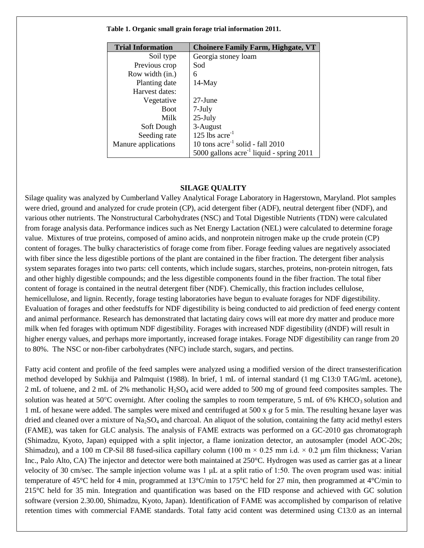| <b>Trial Information</b> | <b>Choinere Family Farm, Highgate, VT</b>     |
|--------------------------|-----------------------------------------------|
| Soil type                | Georgia stoney loam                           |
| Previous crop            | Sod                                           |
| Row width (in.)          | 6                                             |
| Planting date            | $14$ -May                                     |
| Harvest dates:           |                                               |
| Vegetative               | $27$ -June                                    |
| <b>Boot</b>              | $7$ -July                                     |
| Milk                     | $25$ -July                                    |
| Soft Dough               | 3-August                                      |
| Seeding rate             | 125 lbs $\arccos 1$                           |
| Manure applications      | 10 tons $\arccos 1$ solid - fall 2010         |
|                          | 5000 gallons $\arccos 1$ liquid - spring 2011 |

 **Table 1. Organic small grain forage trial information 2011.**

#### **SILAGE QUALITY**

Silage quality was analyzed by Cumberland Valley Analytical Forage Laboratory in Hagerstown, Maryland. Plot samples were dried, ground and analyzed for crude protein (CP), acid detergent fiber (ADF), neutral detergent fiber (NDF), and various other nutrients. The Nonstructural Carbohydrates (NSC) and Total Digestible Nutrients (TDN) were calculated from forage analysis data. Performance indices such as Net Energy Lactation (NEL) were calculated to determine forage value. Mixtures of true proteins, composed of amino acids, and nonprotein nitrogen make up the crude protein (CP) content of forages. The bulky characteristics of forage come from fiber. Forage feeding values are negatively associated with fiber since the less digestible portions of the plant are contained in the fiber fraction. The detergent fiber analysis system separates forages into two parts: cell contents, which include sugars, starches, proteins, non-protein nitrogen, fats and other highly digestible compounds; and the less digestible components found in the fiber fraction. The total fiber content of forage is contained in the neutral detergent fiber (NDF). Chemically, this fraction includes cellulose, hemicellulose, and lignin. Recently, forage testing laboratories have begun to evaluate forages for NDF digestibility. Evaluation of forages and other feedstuffs for NDF digestibility is being conducted to aid prediction of feed energy content and animal performance. Research has demonstrated that lactating dairy cows will eat more dry matter and produce more milk when fed forages with optimum NDF digestibility. Forages with increased NDF digestibility (dNDF) will result in higher energy values, and perhaps more importantly, increased forage intakes. Forage NDF digestibility can range from 20 to 80%. The NSC or non-fiber carbohydrates (NFC) include starch, sugars, and pectins.

Fatty acid content and profile of the feed samples were analyzed using a modified version of the direct transesterification method developed by Sukhija and Palmquist (1988). In brief, 1 mL of internal standard (1 mg C13:0 TAG/mL acetone), 2 mL of toluene, and 2 mL of 2% methanolic H<sub>2</sub>SO<sub>4</sub> acid were added to 500 mg of ground feed composites samples. The solution was heated at  $50^{\circ}$ C overnight. After cooling the samples to room temperature, 5 mL of 6% KHCO<sub>3</sub> solution and 1 mL of hexane were added. The samples were mixed and centrifuged at 500 x *g* for 5 min. The resulting hexane layer was dried and cleaned over a mixture of  $Na_2SO_4$  and charcoal. An aliquot of the solution, containing the fatty acid methyl esters (FAME), was taken for GLC analysis. The analysis of FAME extracts was performed on a GC-2010 gas chromatograph (Shimadzu, Kyoto, Japan) equipped with a split injector, a flame ionization detector, an autosampler (model AOC-20s; Shimadzu), and a 100 m CP-Sil 88 fused-silica capillary column (100 m  $\times$  0.25 mm i.d.  $\times$  0.2 µm film thickness; Varian Inc., Palo Alto, CA) The injector and detector were both maintained at 250°C. Hydrogen was used as carrier gas at a linear velocity of 30 cm/sec. The sample injection volume was 1 μL at a split ratio of 1:50. The oven program used was: initial temperature of 45°C held for 4 min, programmed at 13°C/min to 175°C held for 27 min, then programmed at 4°C/min to 215°C held for 35 min. Integration and quantification was based on the FID response and achieved with GC solution software (version 2.30.00, Shimadzu, Kyoto, Japan). Identification of FAME was accomplished by comparison of relative retention times with commercial FAME standards. Total fatty acid content was determined using C13:0 as an internal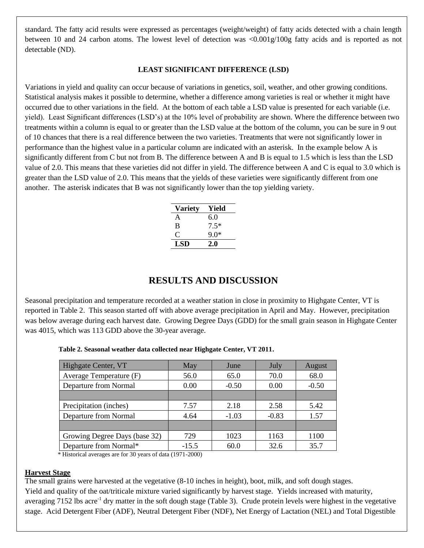standard. The fatty acid results were expressed as percentages (weight/weight) of fatty acids detected with a chain length between 10 and 24 carbon atoms. The lowest level of detection was <0.001g/100g fatty acids and is reported as not detectable (ND).

#### **LEAST SIGNIFICANT DIFFERENCE (LSD)**

Variations in yield and quality can occur because of variations in genetics, soil, weather, and other growing conditions. Statistical analysis makes it possible to determine, whether a difference among varieties is real or whether it might have occurred due to other variations in the field. At the bottom of each table a LSD value is presented for each variable (i.e. yield). Least Significant differences (LSD's) at the 10% level of probability are shown. Where the difference between two treatments within a column is equal to or greater than the LSD value at the bottom of the column, you can be sure in 9 out of 10 chances that there is a real difference between the two varieties. Treatments that were not significantly lower in performance than the highest value in a particular column are indicated with an asterisk. In the example below A is significantly different from C but not from B. The difference between A and B is equal to 1.5 which is less than the LSD value of 2.0. This means that these varieties did not differ in yield. The difference between A and C is equal to 3.0 which is greater than the LSD value of 2.0. This means that the yields of these varieties were significantly different from one another. The asterisk indicates that B was not significantly lower than the top yielding variety.

| Yield  |
|--------|
| 6.0    |
| $7.5*$ |
| $9.0*$ |
| 2.0    |
|        |

# **RESULTS AND DISCUSSION**

Seasonal precipitation and temperature recorded at a weather station in close in proximity to Highgate Center, VT is reported in Table 2. This season started off with above average precipitation in April and May. However, precipitation was below average during each harvest date. Growing Degree Days (GDD) for the small grain season in Highgate Center was 4015, which was 113 GDD above the 30-year average.

| Highgate Center, VT           | May     | June    | July    | August  |
|-------------------------------|---------|---------|---------|---------|
| Average Temperature (F)       | 56.0    | 65.0    | 70.0    | 68.0    |
| Departure from Normal         | 0.00    | $-0.50$ |         | $-0.50$ |
|                               |         |         |         |         |
| Precipitation (inches)        | 7.57    | 2.18    | 2.58    | 5.42    |
| Departure from Normal         | 4.64    | $-1.03$ | $-0.83$ | 1.57    |
|                               |         |         |         |         |
| Growing Degree Days (base 32) | 729     | 1023    | 1163    | 1100    |
| Departure from Normal*        | $-15.5$ | 60.0    | 32.6    | 35.7    |

 **Table 2. Seasonal weather data collected near Highgate Center, VT 2011.**

\* Historical averages are for 30 years of data (1971-2000)

#### **Harvest Stage**

The small grains were harvested at the vegetative (8-10 inches in height), boot, milk, and soft dough stages.

Yield and quality of the oat/triticale mixture varied significantly by harvest stage. Yields increased with maturity, averaging 7152 lbs acre<sup>-1</sup> dry matter in the soft dough stage (Table 3). Crude protein levels were highest in the vegetative stage. Acid Detergent Fiber (ADF), Neutral Detergent Fiber (NDF), Net Energy of Lactation (NEL) and Total Digestible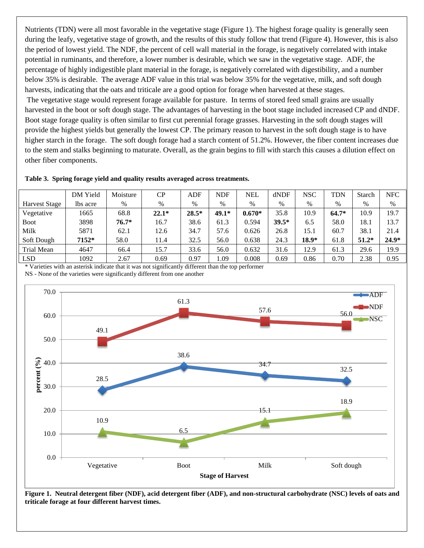Nutrients (TDN) were all most favorable in the vegetative stage (Figure 1). The highest forage quality is generally seen during the leafy, vegetative stage of growth, and the results of this study follow that trend (Figure 4). However, this is also the period of lowest yield. The NDF, the percent of cell wall material in the forage, is negatively correlated with intake potential in ruminants, and therefore, a lower number is desirable, which we saw in the vegetative stage. ADF, the percentage of highly indigestible plant material in the forage, is negatively correlated with digestibility, and a number below 35% is desirable. The average ADF value in this trial was below 35% for the vegetative, milk, and soft dough harvests, indicating that the oats and triticale are a good option for forage when harvested at these stages.

The vegetative stage would represent forage available for pasture. In terms of stored feed small grains are usually harvested in the boot or soft dough stage. The advantages of harvesting in the boot stage included increased CP and dNDF. Boot stage forage quality is often similar to first cut perennial forage grasses. Harvesting in the soft dough stages will provide the highest yields but generally the lowest CP. The primary reason to harvest in the soft dough stage is to have higher starch in the forage. The soft dough forage had a starch content of 51.2%. However, the fiber content increases due to the stem and stalks beginning to maturate. Overall, as the grain begins to fill with starch this causes a dilution effect on other fiber components.

|  |  |  |  | Table 3. Spring forage yield and quality results averaged across treatments. |
|--|--|--|--|------------------------------------------------------------------------------|
|--|--|--|--|------------------------------------------------------------------------------|

|                      | DM Yield | Moisture | $\rm CP$ | ADF     | <b>NDF</b> | <b>NEL</b> | dNDF    | <b>NSC</b> | <b>TDN</b> | <b>Starch</b> | <b>NFC</b> |
|----------------------|----------|----------|----------|---------|------------|------------|---------|------------|------------|---------------|------------|
| <b>Harvest Stage</b> | lbs acre | %        | %        | %       | $\%$       | $\%$       | $\%$    | $\%$       | $\%$       | $\%$          | $\%$       |
| Vegetative           | 1665     | 68.8     | $22.1*$  | $28.5*$ | 49.1*      | $0.670*$   | 35.8    | 10.9       | $64.7*$    | 10.9          | 19.7       |
| <b>Boot</b>          | 3898     | $76.7*$  | 16.7     | 38.6    | 61.3       | 0.594      | $39.5*$ | 6.5        | 58.0       | 18.1          | 13.7       |
| Milk                 | 5871     | 62.1     | 12.6     | 34.7    | 57.6       | 0.626      | 26.8    | 15.1       | 60.7       | 38.1          | 21.4       |
| Soft Dough           | 7152*    | 58.0     | 11.4     | 32.5    | 56.0       | 0.638      | 24.3    | $18.9*$    | 61.8       | $51.2*$       | $24.9*$    |
| Trial Mean           | 4647     | 66.4     | 15.7     | 33.6    | 56.0       | 0.632      | 31.6    | 12.9       | 61.3       | 29.6          | 19.9       |
| <b>LSD</b>           | 1092     | 2.67     | 0.69     | 0.97    | .09        | 0.008      | 0.69    | 0.86       | 0.70       | 2.38          | 0.95       |

\* Varieties with an asterisk indicate that it was not significantly different than the top performer NS - None of the varieties were significantly different from one another



**Figure 1. Neutral detergent fiber (NDF), acid detergent fiber (ADF), and non-structural carbohydrate (NSC) levels of oats and triticale forage at four different harvest times.**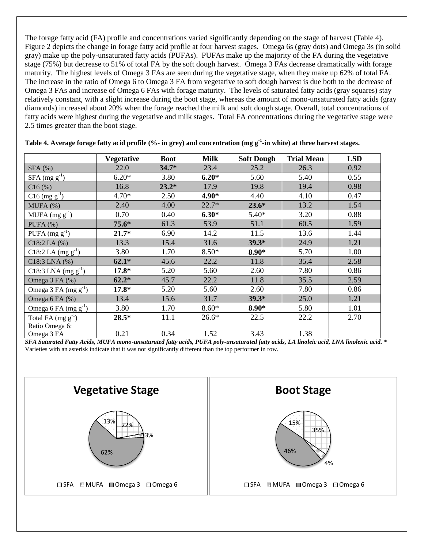The forage fatty acid (FA) profile and concentrations varied significantly depending on the stage of harvest (Table 4). Figure 2 depicts the change in forage fatty acid profile at four harvest stages. Omega 6s (gray dots) and Omega 3s (in solid gray) make up the poly-unsaturated fatty acids (PUFAs). PUFAs make up the majority of the FA during the vegetative stage (75%) but decrease to 51% of total FA by the soft dough harvest. Omega 3 FAs decrease dramatically with forage maturity. The highest levels of Omega 3 FAs are seen during the vegetative stage, when they make up 62% of total FA. The increase in the ratio of Omega 6 to Omega 3 FA from vegetative to soft dough harvest is due both to the decrease of Omega 3 FAs and increase of Omega 6 FAs with forage maturity. The levels of saturated fatty acids (gray squares) stay relatively constant, with a slight increase during the boot stage, whereas the amount of mono-unsaturated fatty acids (gray diamonds) increased about 20% when the forage reached the milk and soft dough stage. Overall, total concentrations of fatty acids were highest during the vegetative and milk stages. Total FA concentrations during the vegetative stage were 2.5 times greater than the boot stage.

|                          | Vegetative | <b>Boot</b> | <b>Milk</b> | <b>Soft Dough</b> | <b>Trial Mean</b> | <b>LSD</b> |
|--------------------------|------------|-------------|-------------|-------------------|-------------------|------------|
| SFA(%)                   | 22.0       | $34.7*$     | 23.4        | 25.2              | 26.3              | 0.92       |
| $SFA$ (mg $g^{-1}$ )     | $6.20*$    | 3.80        | $6.20*$     | 5.60              | 5.40              | 0.55       |
| C16(%)                   | 16.8       | $23.2*$     | 17.9        | 19.8              | 19.4              | 0.98       |
| $C16$ (mg $g^{-1}$ )     | $4.70*$    | 2.50        | 4.90*       | 4.40              | 4.10              | 0.47       |
| MUFA(%)                  | 2.40       | 4.00        | $22.7*$     | $23.6*$           | 13.2              | 1.54       |
| MUFA $(mg g^{-1})$       | 0.70       | 0.40        | $6.30*$     | $5.40*$           | 3.20              | 0.88       |
| PUFA (%)                 | $75.6*$    | 61.3        | 53.9        | 51.1              | 60.5              | 1.59       |
| PUFA $(mg g^{-1})$       | $21.7*$    | 6.90        | 14.2        | 11.5              | 13.6              | 1.44       |
| $C18:2$ LA $(%)$         | 13.3       | 15.4        | 31.6        | $39.3*$           | 24.9              | 1.21       |
| C18:2 LA $(mg g^{-1})$   | 3.80       | 1.70        | $8.50*$     | 8.90*             | 5.70              | 1.00       |
| C18:3 LNA (%)            | $62.1*$    | 45.6        | 22.2        | 11.8              | 35.4              | 2.58       |
| C18:3 LNA $(mg g^{-1})$  | $17.8*$    | 5.20        | 5.60        | 2.60              | 7.80              | 0.86       |
| Omega $3FA$ (%)          | $62.2*$    | 45.7        | 22.2        | 11.8              | 35.5              | 2.59       |
| Omega 3 FA $(mg g^{-1})$ | $17.8*$    | 5.20        | 5.60        | 2.60              | 7.80              | 0.86       |
| Omega 6 FA (%)           | 13.4       | 15.6        | 31.7        | $39.3*$           | 25.0              | 1.21       |
| Omega 6 FA $(mg g^{-1})$ | 3.80       | 1.70        | $8.60*$     | $8.90*$           | 5.80              | 1.01       |
| Total FA $(mg g^{-1})$   | $28.5*$    | 11.1        | $26.6*$     | 22.5              | 22.2              | 2.70       |
| Ratio Omega 6:           |            |             |             |                   |                   |            |
| Omega 3 FA               | 0.21       | 0.34        | 1.52        | 3.43              | 1.38              |            |

**Table 4. Average forage fatty acid profile (%- in grey) and concentration (mg g-1 -in white) at three harvest stages.**

*SFA Saturated Fatty Acids, MUFA mono-unsaturated fatty acids, PUFA poly-unsaturated fatty acids, LA linoleic acid, LNA linolenic acid.* \* Varieties with an asterisk indicate that it was not significantly different than the top performer in row.

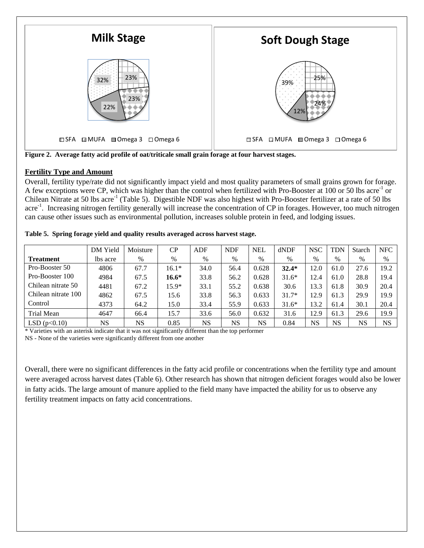



Overall, fertility type/rate did not significantly impact yield and most quality parameters of small grains grown for forage. A few exceptions were CP, which was higher than the control when fertilized with Pro-Booster at 100 or 50 lbs acre<sup>-1</sup> or Chilean Nitrate at 50 lbs acre<sup>-1</sup> (Table 5). Digestible NDF was also highest with Pro-Booster fertilizer at a rate of 50 lbs acre<sup>-1</sup>. Increasing nitrogen fertility generally will increase the concentration of CP in forages. However, too much nitrogen can cause other issues such as environmental pollution, increases soluble protein in feed, and lodging issues.

**Table 5. Spring forage yield and quality results averaged across harvest stage.** 

|                     | DM Yield  | Moisture | $\rm CP$ | <b>ADF</b> | <b>NDF</b> | <b>NEL</b> | dNDF    | <b>NSC</b> | <b>TDN</b> | <b>Starch</b> | <b>NFC</b> |
|---------------------|-----------|----------|----------|------------|------------|------------|---------|------------|------------|---------------|------------|
| <b>Treatment</b>    | lbs acre  | $\%$     | %        | $\%$       | $\%$       | $\%$       | $\%$    | $\%$       | $\%$       | $\%$          | $\%$       |
| Pro-Booster 50      | 4806      | 67.7     | $16.1*$  | 34.0       | 56.4       | 0.628      | $32.4*$ | 12.0       | 61.0       | 27.6          | 19.2       |
| Pro-Booster 100     | 4984      | 67.5     | $16.6*$  | 33.8       | 56.2       | 0.628      | $31.6*$ | 12.4       | 61.0       | 28.8          | 19.4       |
| Chilean nitrate 50  | 4481      | 67.2     | $15.9*$  | 33.1       | 55.2       | 0.638      | 30.6    | 13.3       | 61.8       | 30.9          | 20.4       |
| Chilean nitrate 100 | 4862      | 67.5     | 15.6     | 33.8       | 56.3       | 0.633      | $31.7*$ | 12.9       | 61.3       | 29.9          | 19.9       |
| Control             | 4373      | 64.2     | 15.0     | 33.4       | 55.9       | 0.633      | $31.6*$ | 13.2       | 61.4       | 30.1          | 20.4       |
| Trial Mean          | 4647      | 66.4     | 15.7     | 33.6       | 56.0       | 0.632      | 31.6    | 12.9       | 61.3       | 29.6          | 19.9       |
| LSD(p<0.10)         | <b>NS</b> | NS       | 0.85     | <b>NS</b>  | NS         | NS         | 0.84    | NS         | <b>NS</b>  | <b>NS</b>     | <b>NS</b>  |

\* Varieties with an asterisk indicate that it was not significantly different than the top performer

NS - None of the varieties were significantly different from one another

Overall, there were no significant differences in the fatty acid profile or concentrations when the fertility type and amount were averaged across harvest dates (Table 6). Other research has shown that nitrogen deficient forages would also be lower in fatty acids. The large amount of manure applied to the field many have impacted the ability for us to observe any fertility treatment impacts on fatty acid concentrations.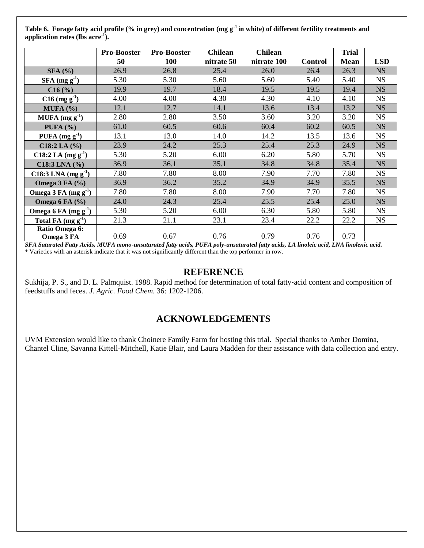**Table 6. Forage fatty acid profile (% in grey) and concentration (mg g-1 in white) of different fertility treatments and application rates (lbs acre-1 ).** 

|                                    | <b>Pro-Booster</b> | <b>Pro-Booster</b> | <b>Chilean</b> | <b>Chilean</b> |                | <b>Trial</b> |            |
|------------------------------------|--------------------|--------------------|----------------|----------------|----------------|--------------|------------|
|                                    | 50                 | 100                | nitrate 50     | nitrate 100    | <b>Control</b> | <b>Mean</b>  | <b>LSD</b> |
| SFA (%)                            | 26.9               | 26.8               | 25.4           | 26.0           | 26.4           | 26.3         | <b>NS</b>  |
| $SFA$ (mg g <sup>-1</sup> )        | 5.30               | 5.30               | 5.60           | 5.60           | 5.40           | 5.40         | <b>NS</b>  |
| C16(%)                             | 19.9               | 19.7               | 18.4           | 19.5           | 19.5           | 19.4         | <b>NS</b>  |
| $C16$ (mg g <sup>-1</sup> )        | 4.00               | 4.00               | 4.30           | 4.30           | 4.10           | 4.10         | <b>NS</b>  |
| MUFA (%)                           | 12.1               | 12.7               | 14.1           | 13.6           | 13.4           | 13.2         | <b>NS</b>  |
| MUFA $(mg g^{-1})$                 | 2.80               | 2.80               | 3.50           | 3.60           | 3.20           | 3.20         | <b>NS</b>  |
| PUFA $(%)$                         | 61.0               | 60.5               | 60.6           | 60.4           | 60.2           | 60.5         | <b>NS</b>  |
| PUFA $(mg g^{-1})$                 | 13.1               | 13.0               | 14.0           | 14.2           | 13.5           | 13.6         | <b>NS</b>  |
| C18:2 LA $(\% )$                   | 23.9               | 24.2               | 25.3           | 25.4           | 25.3           | 24.9         | <b>NS</b>  |
| C18:2 LA $(mg g^{-1})$             | 5.30               | 5.20               | 6.00           | 6.20           | 5.80           | 5.70         | <b>NS</b>  |
| $C18:3$ LNA $(\% )$                | 36.9               | 36.1               | 35.1           | 34.8           | 34.8           | 35.4         | <b>NS</b>  |
| $C18:3$ LNA (mg g <sup>-1</sup> )  | 7.80               | 7.80               | 8.00           | 7.90           | 7.70           | 7.80         | <b>NS</b>  |
| Omega $3$ FA $(\% )$               | 36.9               | 36.2               | 35.2           | 34.9           | 34.9           | 35.5         | <b>NS</b>  |
| Omega $3$ FA (mg g <sup>-1</sup> ) | 7.80               | 7.80               | 8.00           | 7.90           | 7.70           | 7.80         | <b>NS</b>  |
| Omega 6 FA $(\%)$                  | 24.0               | 24.3               | 25.4           | 25.5           | 25.4           | 25.0         | <b>NS</b>  |
| Omega 6 FA $(mg g-1)$              | 5.30               | 5.20               | 6.00           | 6.30           | 5.80           | 5.80         | <b>NS</b>  |
| Total FA $(mg g-1)$                | 21.3               | 21.1               | 23.1           | 23.4           | 22.2           | 22.2         | <b>NS</b>  |
| Ratio Omega 6:<br>Omega 3 FA       | 0.69               | 0.67               | 0.76           | 0.79           | 0.76           | 0.73         |            |

*SFA Saturated Fatty Acids, MUFA mono-unsaturated fatty acids, PUFA poly-unsaturated fatty acids, LA linoleic acid, LNA linolenic acid.*  \* Varieties with an asterisk indicate that it was not significantly different than the top performer in row.

#### **REFERENCE**

Sukhija, P. S., and D. L. Palmquist. 1988. Rapid method for determination of total fatty‐acid content and composition of feedstuffs and feces. *J. Agric. Food Chem.* 36: 1202‐1206.

## **ACKNOWLEDGEMENTS**

UVM Extension would like to thank Choinere Family Farm for hosting this trial. Special thanks to Amber Domina, Chantel Cline, Savanna Kittell-Mitchell, Katie Blair, and Laura Madden for their assistance with data collection and entry.